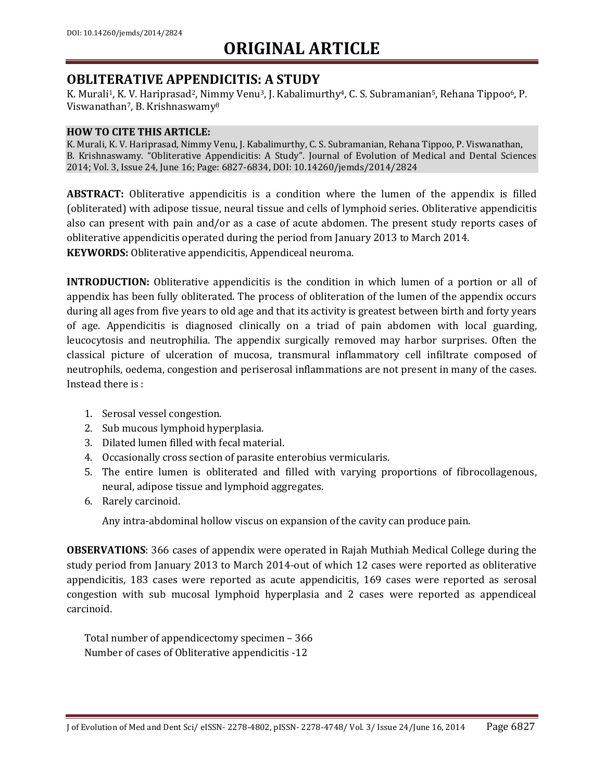### **OBLITERATIVE APPENDICITIS: A STUDY**

K. Murali<sup>1</sup>, K. V. Hariprasad<sup>2</sup>, Nimmy Venu<sup>3</sup>, J. Kabalimurthy<sup>4</sup>, C. S. Subramanian<sup>5</sup>, Rehana Tippoo<sup>6</sup>, P. Viswanathan7, B. Krishnaswamy<sup>8</sup>

#### **HOW TO CITE THIS ARTICLE:**

K. Murali, K. V. Hariprasad, Nimmy Venu, J. Kabalimurthy, C. S. Subramanian, Rehana Tippoo, P. Viswanathan, B. Krishnaswamy. "Obliterative Appendicitis: A Study". Journal of Evolution of Medical and Dental Sciences 2014; Vol. 3, Issue 24, June 16; Page: 6827-6834, DOI: 10.14260/jemds/2014/2824

**ABSTRACT:** Obliterative appendicitis is a condition where the lumen of the appendix is filled (obliterated) with adipose tissue, neural tissue and cells of lymphoid series. Obliterative appendicitis also can present with pain and/or as a case of acute abdomen. The present study reports cases of obliterative appendicitis operated during the period from January 2013 to March 2014. **KEYWORDS:** Obliterative appendicitis, Appendiceal neuroma.

**INTRODUCTION:** Obliterative appendicitis is the condition in which lumen of a portion or all of appendix has been fully obliterated. The process of obliteration of the lumen of the appendix occurs during all ages from five years to old age and that its activity is greatest between birth and forty years of age. Appendicitis is diagnosed clinically on a triad of pain abdomen with local guarding, leucocytosis and neutrophilia. The appendix surgically removed may harbor surprises. Often the classical picture of ulceration of mucosa, transmural inflammatory cell infiltrate composed of neutrophils, oedema, congestion and periserosal inflammations are not present in many of the cases. Instead there is :

- 1. Serosal vessel congestion.
- 2. Sub mucous lymphoid hyperplasia.
- 3. Dilated lumen filled with fecal material.
- 4. Occasionally cross section of parasite enterobius vermicularis.
- 5. The entire lumen is obliterated and filled with varying proportions of fibrocollagenous, neural, adipose tissue and lymphoid aggregates.
- 6. Rarely carcinoid.

Any intra-abdominal hollow viscus on expansion of the cavity can produce pain.

**OBSERVATIONS**: 366 cases of appendix were operated in Rajah Muthiah Medical College during the study period from January 2013 to March 2014-out of which 12 cases were reported as obliterative appendicitis, 183 cases were reported as acute appendicitis, 169 cases were reported as serosal congestion with sub mucosal lymphoid hyperplasia and 2 cases were reported as appendiceal carcinoid.

Total number of appendicectomy specimen – 366 Number of cases of Obliterative appendicitis -12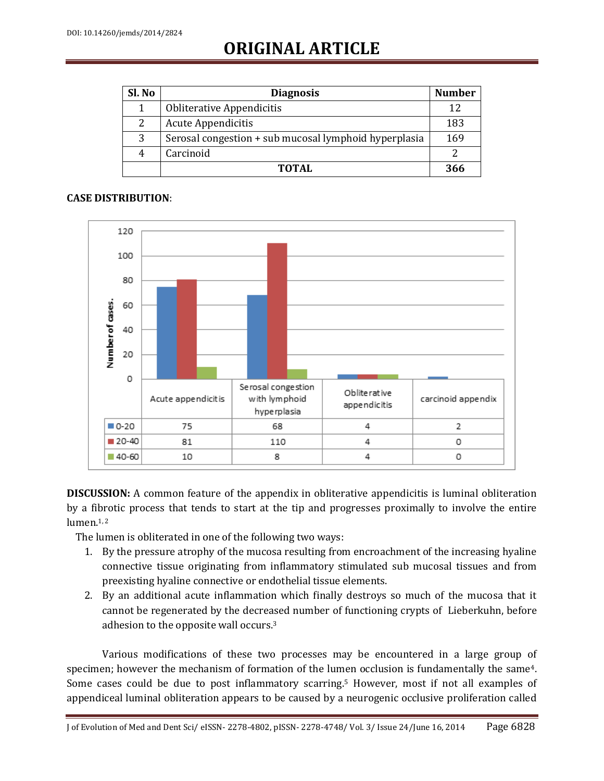| Sl. No | <b>Diagnosis</b>                                      | <b>Number</b> |
|--------|-------------------------------------------------------|---------------|
| 1      | Obliterative Appendicitis                             | 12            |
| 2      | <b>Acute Appendicitis</b>                             | 183           |
| 3      | Serosal congestion + sub mucosal lymphoid hyperplasia | 169           |
| 4      | Carcinoid                                             |               |
|        | TOTAL                                                 | 366           |

### **CASE DISTRIBUTION**:



**DISCUSSION:** A common feature of the appendix in obliterative appendicitis is luminal obliteration by a fibrotic process that tends to start at the tip and progresses proximally to involve the entire lumen.<sup>1,2</sup>

The lumen is obliterated in one of the following two ways:

- 1. By the pressure atrophy of the mucosa resulting from encroachment of the increasing hyaline connective tissue originating from inflammatory stimulated sub mucosal tissues and from preexisting hyaline connective or endothelial tissue elements.
- 2. By an additional acute inflammation which finally destroys so much of the mucosa that it cannot be regenerated by the decreased number of functioning crypts of Lieberkuhn, before adhesion to the opposite wall occurs. 3

Various modifications of these two processes may be encountered in a large group of specimen; however the mechanism of formation of the lumen occlusion is fundamentally the same<sup>4</sup>. Some cases could be due to post inflammatory scarring. <sup>5</sup> However, most if not all examples of appendiceal luminal obliteration appears to be caused by a neurogenic occlusive proliferation called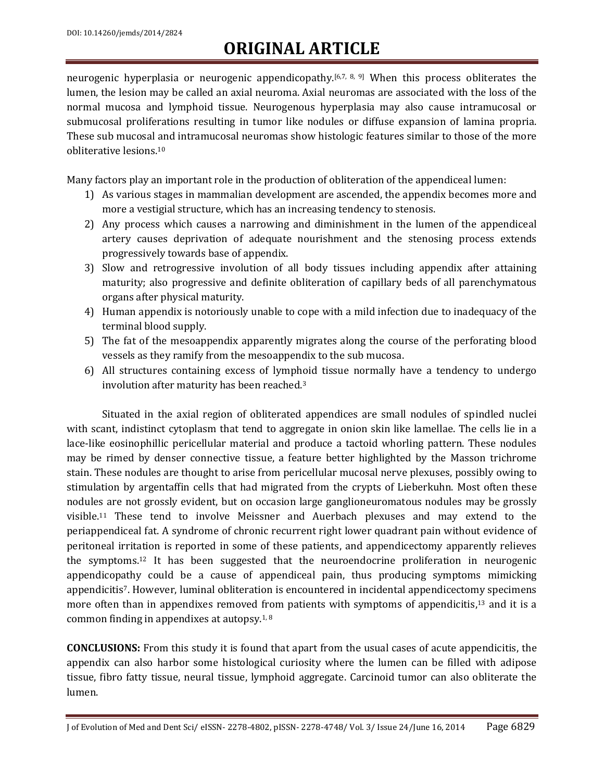neurogenic hyperplasia or neurogenic appendicopathy.<sup>[6,7, 8, 9]</sup> When this process obliterates the lumen, the lesion may be called an axial neuroma. Axial neuromas are associated with the loss of the normal mucosa and lymphoid tissue. Neurogenous hyperplasia may also cause intramucosal or submucosal proliferations resulting in tumor like nodules or diffuse expansion of lamina propria. These sub mucosal and intramucosal neuromas show histologic features similar to those of the more obliterative lesions. 10

Many factors play an important role in the production of obliteration of the appendiceal lumen:

- 1) As various stages in mammalian development are ascended, the appendix becomes more and more a vestigial structure, which has an increasing tendency to stenosis.
- 2) Any process which causes a narrowing and diminishment in the lumen of the appendiceal artery causes deprivation of adequate nourishment and the stenosing process extends progressively towards base of appendix.
- 3) Slow and retrogressive involution of all body tissues including appendix after attaining maturity; also progressive and definite obliteration of capillary beds of all parenchymatous organs after physical maturity.
- 4) Human appendix is notoriously unable to cope with a mild infection due to inadequacy of the terminal blood supply.
- 5) The fat of the mesoappendix apparently migrates along the course of the perforating blood vessels as they ramify from the mesoappendix to the sub mucosa.
- 6) All structures containing excess of lymphoid tissue normally have a tendency to undergo involution after maturity has been reached. 3

Situated in the axial region of obliterated appendices are small nodules of spindled nuclei with scant, indistinct cytoplasm that tend to aggregate in onion skin like lamellae. The cells lie in a lace-like eosinophillic pericellular material and produce a tactoid whorling pattern. These nodules may be rimed by denser connective tissue, a feature better highlighted by the Masson trichrome stain. These nodules are thought to arise from pericellular mucosal nerve plexuses, possibly owing to stimulation by argentaffin cells that had migrated from the crypts of Lieberkuhn. Most often these nodules are not grossly evident, but on occasion large ganglioneuromatous nodules may be grossly visible. <sup>11</sup> These tend to involve Meissner and Auerbach plexuses and may extend to the periappendiceal fat. A syndrome of chronic recurrent right lower quadrant pain without evidence of peritoneal irritation is reported in some of these patients, and appendicectomy apparently relieves the symptoms. <sup>12</sup> It has been suggested that the neuroendocrine proliferation in neurogenic appendicopathy could be a cause of appendiceal pain, thus producing symptoms mimicking appendicitis7. However, luminal obliteration is encountered in incidental appendicectomy specimens more often than in appendixes removed from patients with symptoms of appendicitis,<sup>13</sup> and it is a common finding in appendixes at autopsy.<sup>1, 8</sup>

**CONCLUSIONS:** From this study it is found that apart from the usual cases of acute appendicitis, the appendix can also harbor some histological curiosity where the lumen can be filled with adipose tissue, fibro fatty tissue, neural tissue, lymphoid aggregate. Carcinoid tumor can also obliterate the lumen.

J of Evolution of Med and Dent Sci/ eISSN- 2278-4802, pISSN- 2278-4748/ Vol. 3/ Issue 24/June 16, 2014 Page 6829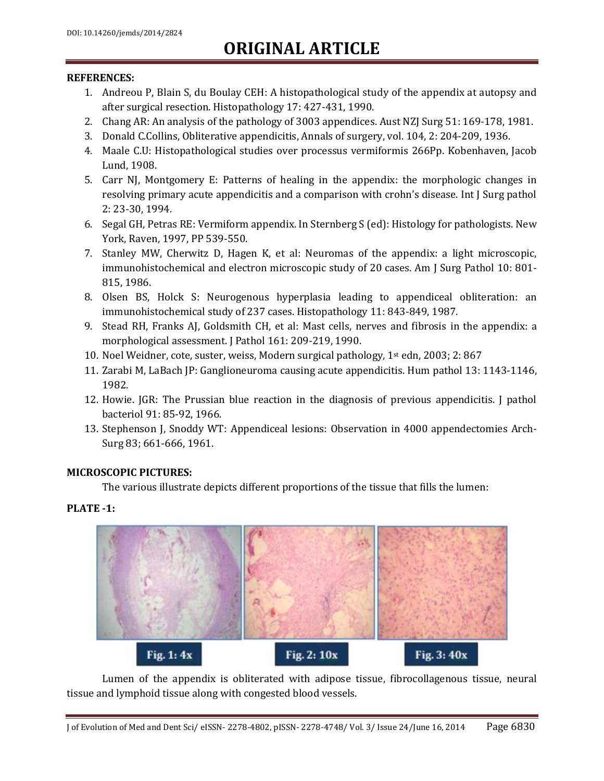### **REFERENCES:**

- 1. Andreou P, Blain S, du Boulay CEH: A histopathological study of the appendix at autopsy and after surgical resection. Histopathology 17: 427-431, 1990.
- 2. Chang AR: An analysis of the pathology of 3003 appendices. Aust NZJ Surg 51: 169-178, 1981.
- 3. Donald C.Collins, Obliterative appendicitis, Annals of surgery, vol. 104, 2: 204-209, 1936.
- 4. Maale C.U: Histopathological studies over processus vermiformis 266Pp. Kobenhaven, Jacob Lund, 1908.
- 5. Carr NJ, Montgomery E: Patterns of healing in the appendix: the morphologic changes in resolving primary acute appendicitis and a comparison with crohn's disease. Int J Surg pathol 2: 23-30, 1994.
- 6. Segal GH, Petras RE: Vermiform appendix. In Sternberg S (ed): Histology for pathologists. New York, Raven, 1997, PP 539-550.
- 7. Stanley MW, Cherwitz D, Hagen K, et al: Neuromas of the appendix: a light microscopic, immunohistochemical and electron microscopic study of 20 cases. Am J Surg Pathol 10: 801- 815, 1986.
- 8. Olsen BS, Holck S: Neurogenous hyperplasia leading to appendiceal obliteration: an immunohistochemical study of 237 cases. Histopathology 11: 843-849, 1987.
- 9. Stead RH, Franks AJ, Goldsmith CH, et al: Mast cells, nerves and fibrosis in the appendix: a morphological assessment. J Pathol 161: 209-219, 1990.
- 10. Noel Weidner, cote, suster, weiss, Modern surgical pathology,  $1<sup>st</sup>$  edn, 2003; 2: 867
- 11. Zarabi M, LaBach JP: Ganglioneuroma causing acute appendicitis. Hum pathol 13: 1143-1146, 1982.
- 12. Howie. JGR: The Prussian blue reaction in the diagnosis of previous appendicitis. J pathol bacteriol 91: 85-92, 1966.
- 13. Stephenson J, Snoddy WT: Appendiceal lesions: Observation in 4000 appendectomies Arch-Surg 83; 661-666, 1961.

### **MICROSCOPIC PICTURES:**

The various illustrate depicts different proportions of the tissue that fills the lumen:

### **PLATE -1:**



Lumen of the appendix is obliterated with adipose tissue, fibrocollagenous tissue, neural tissue and lymphoid tissue along with congested blood vessels.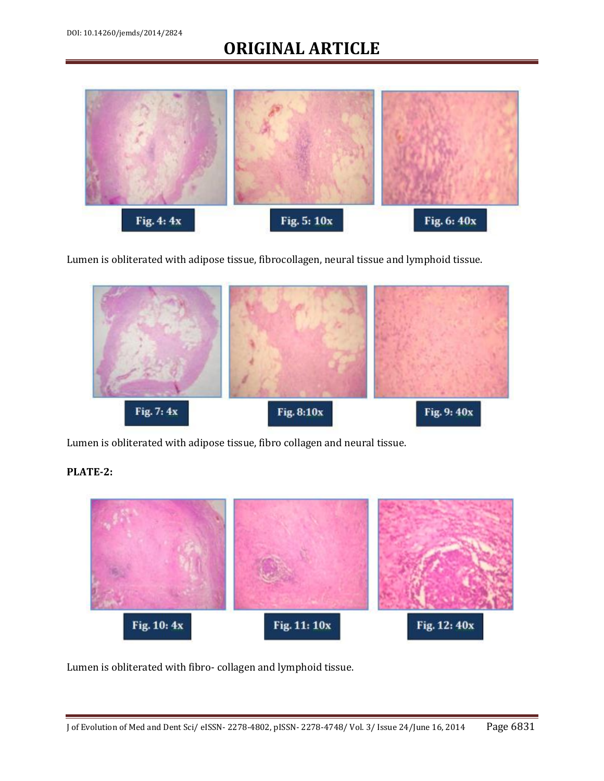

Lumen is obliterated with adipose tissue, fibrocollagen, neural tissue and lymphoid tissue.



Lumen is obliterated with adipose tissue, fibro collagen and neural tissue.

### **PLATE-2:**



Lumen is obliterated with fibro- collagen and lymphoid tissue.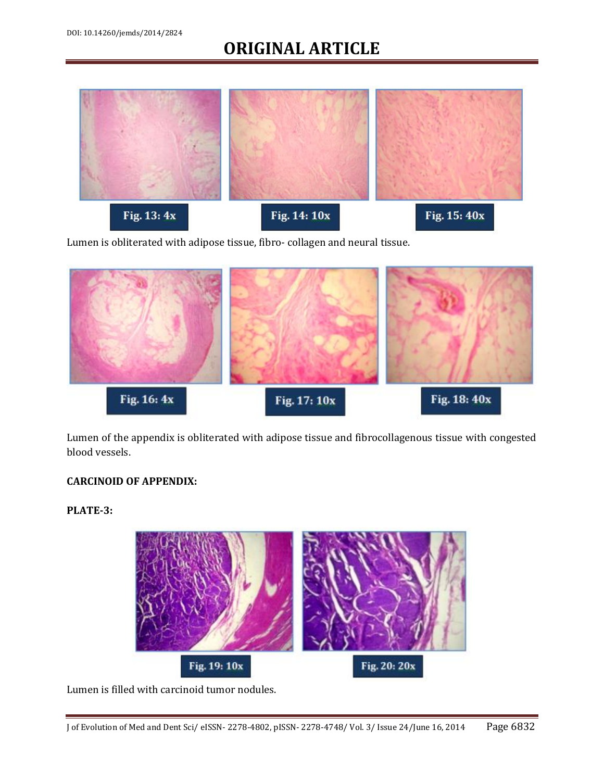

Lumen is obliterated with adipose tissue, fibro- collagen and neural tissue.



Lumen of the appendix is obliterated with adipose tissue and fibrocollagenous tissue with congested blood vessels.

### **CARCINOID OF APPENDIX:**

**PLATE-3:** 



Lumen is filled with carcinoid tumor nodules.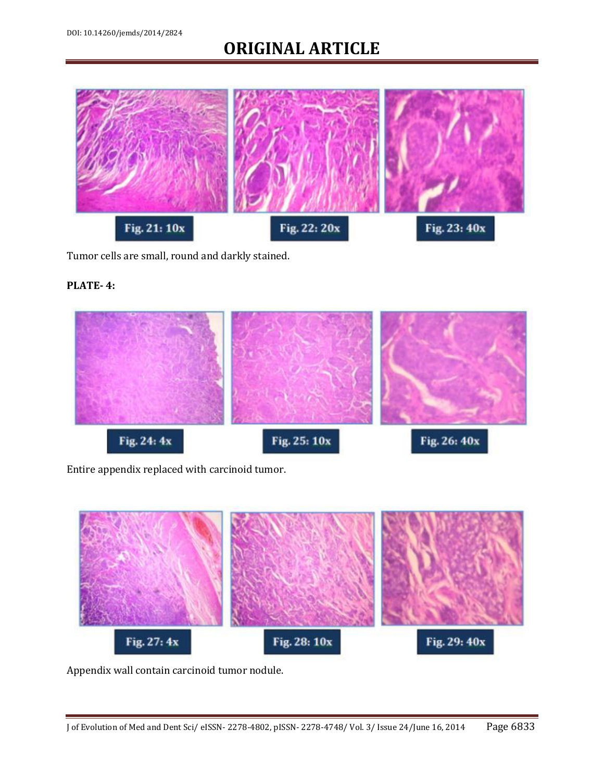

Tumor cells are small, round and darkly stained.

### **PLATE- 4:**



Entire appendix replaced with carcinoid tumor.



Appendix wall contain carcinoid tumor nodule.